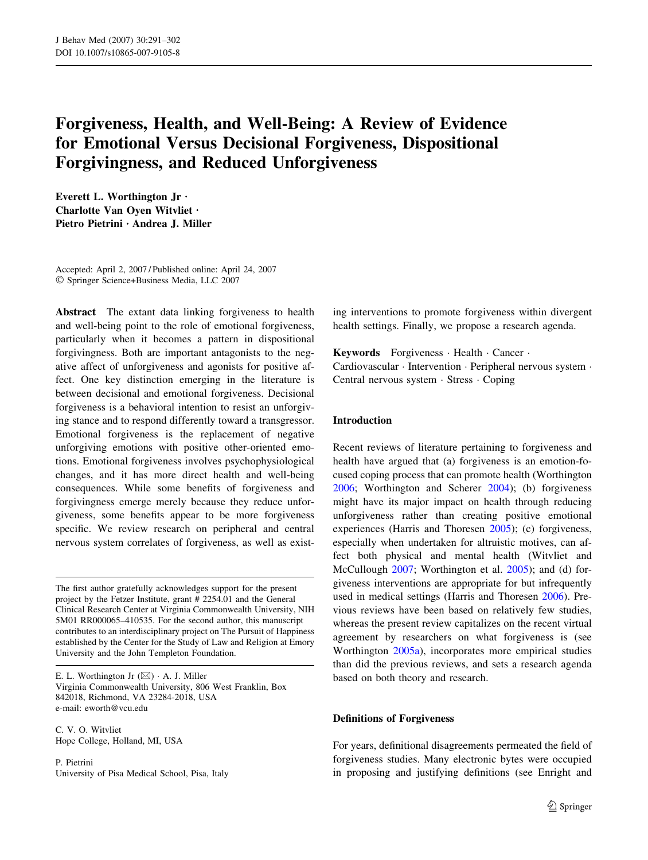# Forgiveness, Health, and Well-Being: A Review of Evidence for Emotional Versus Decisional Forgiveness, Dispositional Forgivingness, and Reduced Unforgiveness

Everett L. Worthington Jr  $\cdot$ Charlotte Van Oyen Witvliet · Pietro Pietrini · Andrea J. Miller

Accepted: April 2, 2007 / Published online: April 24, 2007 Springer Science+Business Media, LLC 2007

Abstract The extant data linking forgiveness to health and well-being point to the role of emotional forgiveness, particularly when it becomes a pattern in dispositional forgivingness. Both are important antagonists to the negative affect of unforgiveness and agonists for positive affect. One key distinction emerging in the literature is between decisional and emotional forgiveness. Decisional forgiveness is a behavioral intention to resist an unforgiving stance and to respond differently toward a transgressor. Emotional forgiveness is the replacement of negative unforgiving emotions with positive other-oriented emotions. Emotional forgiveness involves psychophysiological changes, and it has more direct health and well-being consequences. While some benefits of forgiveness and forgivingness emerge merely because they reduce unforgiveness, some benefits appear to be more forgiveness specific. We review research on peripheral and central nervous system correlates of forgiveness, as well as exist-

The first author gratefully acknowledges support for the present project by the Fetzer Institute, grant # 2254.01 and the General Clinical Research Center at Virginia Commonwealth University, NIH 5M01 RR000065–410535. For the second author, this manuscript contributes to an interdisciplinary project on The Pursuit of Happiness established by the Center for the Study of Law and Religion at Emory University and the John Templeton Foundation.

E. L. Worthington Jr  $(\boxtimes) \cdot A$ . J. Miller Virginia Commonwealth University, 806 West Franklin, Box 842018, Richmond, VA 23284-2018, USA e-mail: eworth@vcu.edu

C. V. O. Witvliet Hope College, Holland, MI, USA

P. Pietrini University of Pisa Medical School, Pisa, Italy ing interventions to promote forgiveness within divergent health settings. Finally, we propose a research agenda.

Keywords Forgiveness · Health · Cancer · Cardiovascular · Intervention · Peripheral nervous system · Central nervous system · Stress · Coping

## Introduction

Recent reviews of literature pertaining to forgiveness and health have argued that (a) forgiveness is an emotion-focused coping process that can promote health (Worthington [2006](#page-11-0); Worthington and Scherer [2004\)](#page-11-0); (b) forgiveness might have its major impact on health through reducing unforgiveness rather than creating positive emotional experiences (Harris and Thoresen [2005](#page-10-0)); (c) forgiveness, especially when undertaken for altruistic motives, can affect both physical and mental health (Witvliet and McCullough [2007](#page-11-0); Worthington et al. [2005](#page-11-0)); and (d) forgiveness interventions are appropriate for but infrequently used in medical settings (Harris and Thoresen [2006](#page-10-0)). Previous reviews have been based on relatively few studies, whereas the present review capitalizes on the recent virtual agreement by researchers on what forgiveness is (see Worthington [2005a\)](#page-11-0), incorporates more empirical studies than did the previous reviews, and sets a research agenda based on both theory and research.

## Definitions of Forgiveness

For years, definitional disagreements permeated the field of forgiveness studies. Many electronic bytes were occupied in proposing and justifying definitions (see Enright and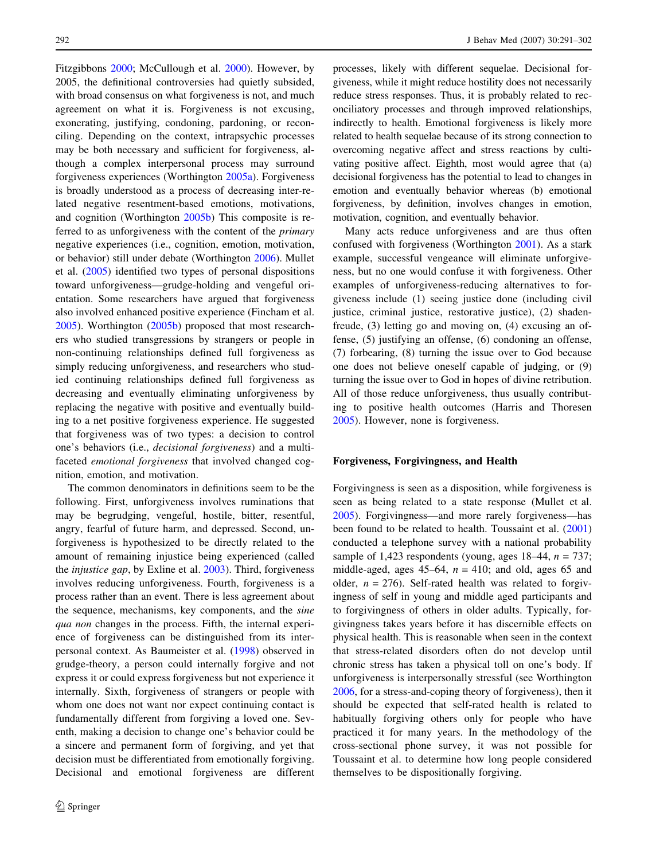Fitzgibbons [2000;](#page-10-0) McCullough et al. [2000\)](#page-11-0). However, by 2005, the definitional controversies had quietly subsided, with broad consensus on what forgiveness is not, and much agreement on what it is. Forgiveness is not excusing, exonerating, justifying, condoning, pardoning, or reconciling. Depending on the context, intrapsychic processes may be both necessary and sufficient for forgiveness, although a complex interpersonal process may surround forgiveness experiences (Worthington [2005a](#page-11-0)). Forgiveness is broadly understood as a process of decreasing inter-related negative resentment-based emotions, motivations, and cognition (Worthington [2005b](#page-11-0)) This composite is referred to as unforgiveness with the content of the primary negative experiences (i.e., cognition, emotion, motivation, or behavior) still under debate (Worthington [2006\)](#page-11-0). Mullet et al. [\(2005\)](#page-11-0) identified two types of personal dispositions toward unforgiveness—grudge-holding and vengeful orientation. Some researchers have argued that forgiveness also involved enhanced positive experience (Fincham et al. [2005\)](#page-10-0). Worthington ([2005b\)](#page-11-0) proposed that most researchers who studied transgressions by strangers or people in non-continuing relationships defined full forgiveness as simply reducing unforgiveness, and researchers who studied continuing relationships defined full forgiveness as decreasing and eventually eliminating unforgiveness by replacing the negative with positive and eventually building to a net positive forgiveness experience. He suggested that forgiveness was of two types: a decision to control one's behaviors (i.e., decisional forgiveness) and a multifaceted emotional forgiveness that involved changed cognition, emotion, and motivation.

The common denominators in definitions seem to be the following. First, unforgiveness involves ruminations that may be begrudging, vengeful, hostile, bitter, resentful, angry, fearful of future harm, and depressed. Second, unforgiveness is hypothesized to be directly related to the amount of remaining injustice being experienced (called the injustice gap, by Exline et al. [2003](#page-10-0)). Third, forgiveness involves reducing unforgiveness. Fourth, forgiveness is a process rather than an event. There is less agreement about the sequence, mechanisms, key components, and the sine qua non changes in the process. Fifth, the internal experience of forgiveness can be distinguished from its interpersonal context. As Baumeister et al. ([1998\)](#page-9-0) observed in grudge-theory, a person could internally forgive and not express it or could express forgiveness but not experience it internally. Sixth, forgiveness of strangers or people with whom one does not want nor expect continuing contact is fundamentally different from forgiving a loved one. Seventh, making a decision to change one's behavior could be a sincere and permanent form of forgiving, and yet that decision must be differentiated from emotionally forgiving. Decisional and emotional forgiveness are different processes, likely with different sequelae. Decisional forgiveness, while it might reduce hostility does not necessarily reduce stress responses. Thus, it is probably related to reconciliatory processes and through improved relationships, indirectly to health. Emotional forgiveness is likely more related to health sequelae because of its strong connection to overcoming negative affect and stress reactions by cultivating positive affect. Eighth, most would agree that (a) decisional forgiveness has the potential to lead to changes in emotion and eventually behavior whereas (b) emotional forgiveness, by definition, involves changes in emotion, motivation, cognition, and eventually behavior.

Many acts reduce unforgiveness and are thus often confused with forgiveness (Worthington [2001\)](#page-11-0). As a stark example, successful vengeance will eliminate unforgiveness, but no one would confuse it with forgiveness. Other examples of unforgiveness-reducing alternatives to forgiveness include (1) seeing justice done (including civil justice, criminal justice, restorative justice), (2) shadenfreude, (3) letting go and moving on, (4) excusing an offense, (5) justifying an offense, (6) condoning an offense, (7) forbearing, (8) turning the issue over to God because one does not believe oneself capable of judging, or (9) turning the issue over to God in hopes of divine retribution. All of those reduce unforgiveness, thus usually contributing to positive health outcomes (Harris and Thoresen [2005](#page-10-0)). However, none is forgiveness.

## Forgiveness, Forgivingness, and Health

Forgivingness is seen as a disposition, while forgiveness is seen as being related to a state response (Mullet et al. [2005](#page-11-0)). Forgivingness—and more rarely forgiveness—has been found to be related to health. Toussaint et al. ([2001\)](#page-11-0) conducted a telephone survey with a national probability sample of 1,423 respondents (young, ages 18–44,  $n = 737$ ; middle-aged, ages  $45-64$ ,  $n = 410$ ; and old, ages 65 and older,  $n = 276$ ). Self-rated health was related to forgivingness of self in young and middle aged participants and to forgivingness of others in older adults. Typically, forgivingness takes years before it has discernible effects on physical health. This is reasonable when seen in the context that stress-related disorders often do not develop until chronic stress has taken a physical toll on one's body. If unforgiveness is interpersonally stressful (see Worthington [2006](#page-11-0), for a stress-and-coping theory of forgiveness), then it should be expected that self-rated health is related to habitually forgiving others only for people who have practiced it for many years. In the methodology of the cross-sectional phone survey, it was not possible for Toussaint et al. to determine how long people considered themselves to be dispositionally forgiving.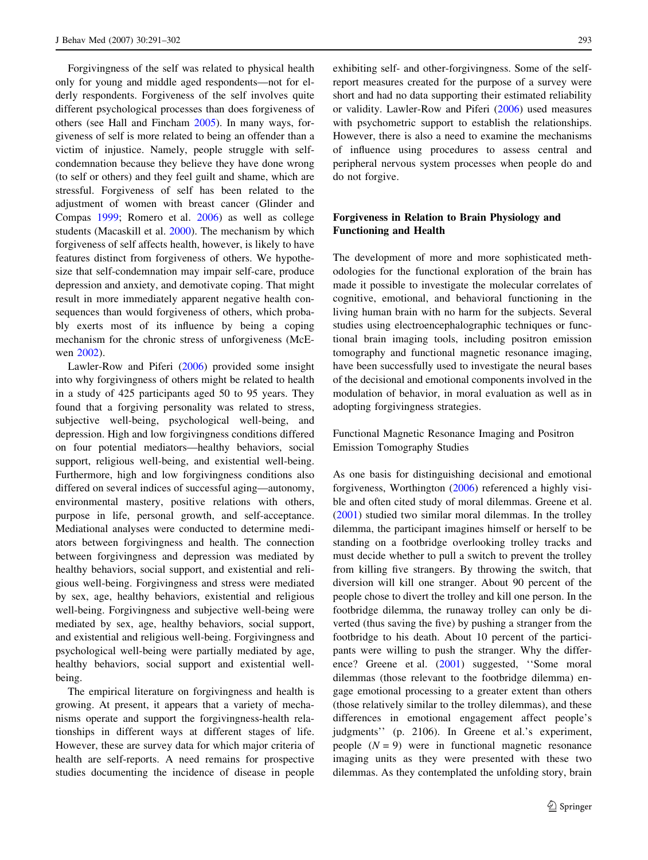Forgivingness of the self was related to physical health only for young and middle aged respondents—not for elderly respondents. Forgiveness of the self involves quite different psychological processes than does forgiveness of others (see Hall and Fincham [2005\)](#page-10-0). In many ways, forgiveness of self is more related to being an offender than a victim of injustice. Namely, people struggle with selfcondemnation because they believe they have done wrong (to self or others) and they feel guilt and shame, which are stressful. Forgiveness of self has been related to the adjustment of women with breast cancer (Glinder and Compas [1999](#page-10-0); Romero et al. [2006](#page-11-0)) as well as college students (Macaskill et al. [2000\)](#page-11-0). The mechanism by which forgiveness of self affects health, however, is likely to have features distinct from forgiveness of others. We hypothesize that self-condemnation may impair self-care, produce depression and anxiety, and demotivate coping. That might result in more immediately apparent negative health consequences than would forgiveness of others, which probably exerts most of its influence by being a coping mechanism for the chronic stress of unforgiveness (McEwen [2002\)](#page-11-0).

Lawler-Row and Piferi [\(2006](#page-10-0)) provided some insight into why forgivingness of others might be related to health in a study of 425 participants aged 50 to 95 years. They found that a forgiving personality was related to stress, subjective well-being, psychological well-being, and depression. High and low forgivingness conditions differed on four potential mediators—healthy behaviors, social support, religious well-being, and existential well-being. Furthermore, high and low forgivingness conditions also differed on several indices of successful aging—autonomy, environmental mastery, positive relations with others, purpose in life, personal growth, and self-acceptance. Mediational analyses were conducted to determine mediators between forgivingness and health. The connection between forgivingness and depression was mediated by healthy behaviors, social support, and existential and religious well-being. Forgivingness and stress were mediated by sex, age, healthy behaviors, existential and religious well-being. Forgivingness and subjective well-being were mediated by sex, age, healthy behaviors, social support, and existential and religious well-being. Forgivingness and psychological well-being were partially mediated by age, healthy behaviors, social support and existential wellbeing.

The empirical literature on forgivingness and health is growing. At present, it appears that a variety of mechanisms operate and support the forgivingness-health relationships in different ways at different stages of life. However, these are survey data for which major criteria of health are self-reports. A need remains for prospective studies documenting the incidence of disease in people

exhibiting self- and other-forgivingness. Some of the selfreport measures created for the purpose of a survey were short and had no data supporting their estimated reliability or validity. Lawler-Row and Piferi ([2006\)](#page-10-0) used measures with psychometric support to establish the relationships. However, there is also a need to examine the mechanisms of influence using procedures to assess central and peripheral nervous system processes when people do and do not forgive.

# Forgiveness in Relation to Brain Physiology and Functioning and Health

The development of more and more sophisticated methodologies for the functional exploration of the brain has made it possible to investigate the molecular correlates of cognitive, emotional, and behavioral functioning in the living human brain with no harm for the subjects. Several studies using electroencephalographic techniques or functional brain imaging tools, including positron emission tomography and functional magnetic resonance imaging, have been successfully used to investigate the neural bases of the decisional and emotional components involved in the modulation of behavior, in moral evaluation as well as in adopting forgivingness strategies.

Functional Magnetic Resonance Imaging and Positron Emission Tomography Studies

As one basis for distinguishing decisional and emotional forgiveness, Worthington [\(2006](#page-11-0)) referenced a highly visible and often cited study of moral dilemmas. Greene et al. [\(2001](#page-10-0)) studied two similar moral dilemmas. In the trolley dilemma, the participant imagines himself or herself to be standing on a footbridge overlooking trolley tracks and must decide whether to pull a switch to prevent the trolley from killing five strangers. By throwing the switch, that diversion will kill one stranger. About 90 percent of the people chose to divert the trolley and kill one person. In the footbridge dilemma, the runaway trolley can only be diverted (thus saving the five) by pushing a stranger from the footbridge to his death. About 10 percent of the participants were willing to push the stranger. Why the difference? Greene et al. ([2001\)](#page-10-0) suggested, ''Some moral dilemmas (those relevant to the footbridge dilemma) engage emotional processing to a greater extent than others (those relatively similar to the trolley dilemmas), and these differences in emotional engagement affect people's judgments'' (p. 2106). In Greene et al.'s experiment, people  $(N = 9)$  were in functional magnetic resonance imaging units as they were presented with these two dilemmas. As they contemplated the unfolding story, brain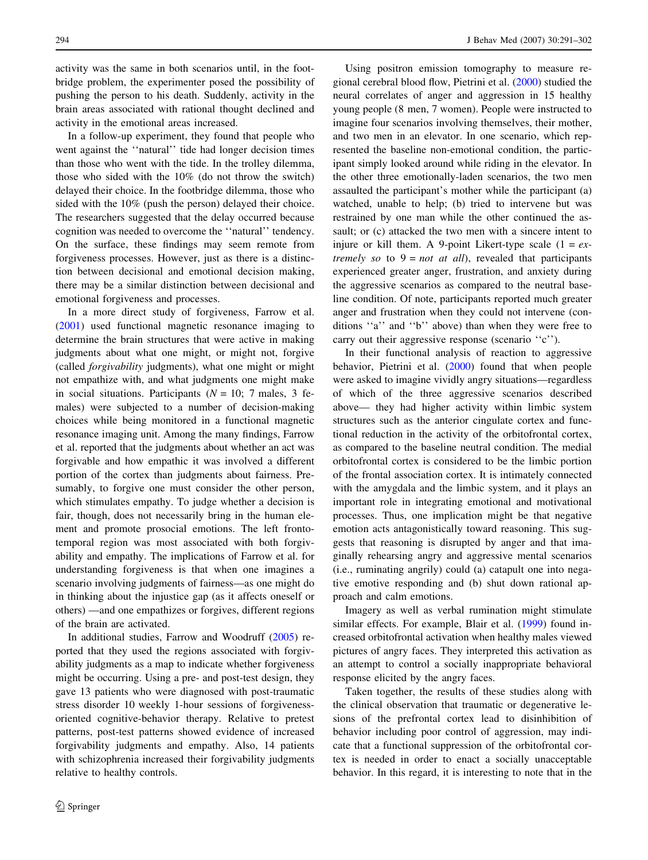activity was the same in both scenarios until, in the footbridge problem, the experimenter posed the possibility of pushing the person to his death. Suddenly, activity in the brain areas associated with rational thought declined and activity in the emotional areas increased.

In a follow-up experiment, they found that people who went against the ''natural'' tide had longer decision times than those who went with the tide. In the trolley dilemma, those who sided with the 10% (do not throw the switch) delayed their choice. In the footbridge dilemma, those who sided with the 10% (push the person) delayed their choice. The researchers suggested that the delay occurred because cognition was needed to overcome the ''natural'' tendency. On the surface, these findings may seem remote from forgiveness processes. However, just as there is a distinction between decisional and emotional decision making, there may be a similar distinction between decisional and emotional forgiveness and processes.

In a more direct study of forgiveness, Farrow et al. [\(2001](#page-10-0)) used functional magnetic resonance imaging to determine the brain structures that were active in making judgments about what one might, or might not, forgive (called forgivability judgments), what one might or might not empathize with, and what judgments one might make in social situations. Participants ( $N = 10$ ; 7 males, 3 females) were subjected to a number of decision-making choices while being monitored in a functional magnetic resonance imaging unit. Among the many findings, Farrow et al. reported that the judgments about whether an act was forgivable and how empathic it was involved a different portion of the cortex than judgments about fairness. Presumably, to forgive one must consider the other person, which stimulates empathy. To judge whether a decision is fair, though, does not necessarily bring in the human element and promote prosocial emotions. The left frontotemporal region was most associated with both forgivability and empathy. The implications of Farrow et al. for understanding forgiveness is that when one imagines a scenario involving judgments of fairness—as one might do in thinking about the injustice gap (as it affects oneself or others) —and one empathizes or forgives, different regions of the brain are activated.

In additional studies, Farrow and Woodruff ([2005\)](#page-10-0) reported that they used the regions associated with forgivability judgments as a map to indicate whether forgiveness might be occurring. Using a pre- and post-test design, they gave 13 patients who were diagnosed with post-traumatic stress disorder 10 weekly 1-hour sessions of forgivenessoriented cognitive-behavior therapy. Relative to pretest patterns, post-test patterns showed evidence of increased forgivability judgments and empathy. Also, 14 patients with schizophrenia increased their forgivability judgments relative to healthy controls.

Using positron emission tomography to measure regional cerebral blood flow, Pietrini et al. ([2000\)](#page-11-0) studied the neural correlates of anger and aggression in 15 healthy young people (8 men, 7 women). People were instructed to imagine four scenarios involving themselves, their mother, and two men in an elevator. In one scenario, which represented the baseline non-emotional condition, the participant simply looked around while riding in the elevator. In the other three emotionally-laden scenarios, the two men assaulted the participant's mother while the participant (a) watched, unable to help; (b) tried to intervene but was restrained by one man while the other continued the assault; or (c) attacked the two men with a sincere intent to injure or kill them. A 9-point Likert-type scale  $(1 = e^x + e^y)$ tremely so to  $9 = not$  at all), revealed that participants experienced greater anger, frustration, and anxiety during the aggressive scenarios as compared to the neutral baseline condition. Of note, participants reported much greater anger and frustration when they could not intervene (conditions ''a'' and ''b'' above) than when they were free to carry out their aggressive response (scenario ''c'').

In their functional analysis of reaction to aggressive behavior, Pietrini et al. ([2000\)](#page-11-0) found that when people were asked to imagine vividly angry situations—regardless of which of the three aggressive scenarios described above— they had higher activity within limbic system structures such as the anterior cingulate cortex and functional reduction in the activity of the orbitofrontal cortex, as compared to the baseline neutral condition. The medial orbitofrontal cortex is considered to be the limbic portion of the frontal association cortex. It is intimately connected with the amygdala and the limbic system, and it plays an important role in integrating emotional and motivational processes. Thus, one implication might be that negative emotion acts antagonistically toward reasoning. This suggests that reasoning is disrupted by anger and that imaginally rehearsing angry and aggressive mental scenarios (i.e., ruminating angrily) could (a) catapult one into negative emotive responding and (b) shut down rational approach and calm emotions.

Imagery as well as verbal rumination might stimulate similar effects. For example, Blair et al. [\(1999](#page-10-0)) found increased orbitofrontal activation when healthy males viewed pictures of angry faces. They interpreted this activation as an attempt to control a socially inappropriate behavioral response elicited by the angry faces.

Taken together, the results of these studies along with the clinical observation that traumatic or degenerative lesions of the prefrontal cortex lead to disinhibition of behavior including poor control of aggression, may indicate that a functional suppression of the orbitofrontal cortex is needed in order to enact a socially unacceptable behavior. In this regard, it is interesting to note that in the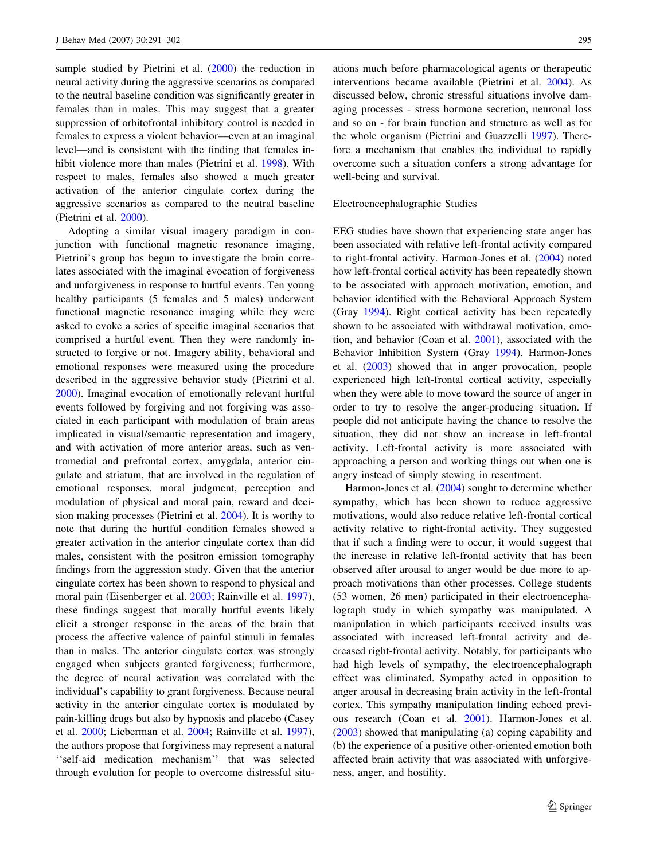sample studied by Pietrini et al. [\(2000](#page-11-0)) the reduction in neural activity during the aggressive scenarios as compared to the neutral baseline condition was significantly greater in females than in males. This may suggest that a greater suppression of orbitofrontal inhibitory control is needed in females to express a violent behavior––even at an imaginal level—and is consistent with the finding that females inhibit violence more than males (Pietrini et al. [1998](#page-11-0)). With respect to males, females also showed a much greater activation of the anterior cingulate cortex during the aggressive scenarios as compared to the neutral baseline (Pietrini et al. [2000\)](#page-11-0).

Adopting a similar visual imagery paradigm in conjunction with functional magnetic resonance imaging, Pietrini's group has begun to investigate the brain correlates associated with the imaginal evocation of forgiveness and unforgiveness in response to hurtful events. Ten young healthy participants (5 females and 5 males) underwent functional magnetic resonance imaging while they were asked to evoke a series of specific imaginal scenarios that comprised a hurtful event. Then they were randomly instructed to forgive or not. Imagery ability, behavioral and emotional responses were measured using the procedure described in the aggressive behavior study (Pietrini et al. [2000\)](#page-11-0). Imaginal evocation of emotionally relevant hurtful events followed by forgiving and not forgiving was associated in each participant with modulation of brain areas implicated in visual/semantic representation and imagery, and with activation of more anterior areas, such as ventromedial and prefrontal cortex, amygdala, anterior cingulate and striatum, that are involved in the regulation of emotional responses, moral judgment, perception and modulation of physical and moral pain, reward and decision making processes (Pietrini et al. [2004](#page-11-0)). It is worthy to note that during the hurtful condition females showed a greater activation in the anterior cingulate cortex than did males, consistent with the positron emission tomography findings from the aggression study. Given that the anterior cingulate cortex has been shown to respond to physical and moral pain (Eisenberger et al. [2003;](#page-10-0) Rainville et al. [1997](#page-11-0)), these findings suggest that morally hurtful events likely elicit a stronger response in the areas of the brain that process the affective valence of painful stimuli in females than in males. The anterior cingulate cortex was strongly engaged when subjects granted forgiveness; furthermore, the degree of neural activation was correlated with the individual's capability to grant forgiveness. Because neural activity in the anterior cingulate cortex is modulated by pain-killing drugs but also by hypnosis and placebo (Casey et al. [2000](#page-10-0); Lieberman et al. [2004](#page-10-0); Rainville et al. [1997](#page-11-0)), the authors propose that forgiviness may represent a natural ''self-aid medication mechanism'' that was selected through evolution for people to overcome distressful situations much before pharmacological agents or therapeutic interventions became available (Pietrini et al. [2004\)](#page-11-0). As discussed below, chronic stressful situations involve damaging processes - stress hormone secretion, neuronal loss and so on - for brain function and structure as well as for the whole organism (Pietrini and Guazzelli [1997](#page-11-0)). Therefore a mechanism that enables the individual to rapidly overcome such a situation confers a strong advantage for well-being and survival.

#### Electroencephalographic Studies

EEG studies have shown that experiencing state anger has been associated with relative left-frontal activity compared to right-frontal activity. Harmon-Jones et al. [\(2004](#page-10-0)) noted how left-frontal cortical activity has been repeatedly shown to be associated with approach motivation, emotion, and behavior identified with the Behavioral Approach System (Gray [1994](#page-10-0)). Right cortical activity has been repeatedly shown to be associated with withdrawal motivation, emotion, and behavior (Coan et al. [2001\)](#page-10-0), associated with the Behavior Inhibition System (Gray [1994](#page-10-0)). Harmon-Jones et al. ([2003\)](#page-10-0) showed that in anger provocation, people experienced high left-frontal cortical activity, especially when they were able to move toward the source of anger in order to try to resolve the anger-producing situation. If people did not anticipate having the chance to resolve the situation, they did not show an increase in left-frontal activity. Left-frontal activity is more associated with approaching a person and working things out when one is angry instead of simply stewing in resentment.

Harmon-Jones et al. [\(2004](#page-10-0)) sought to determine whether sympathy, which has been shown to reduce aggressive motivations, would also reduce relative left-frontal cortical activity relative to right-frontal activity. They suggested that if such a finding were to occur, it would suggest that the increase in relative left-frontal activity that has been observed after arousal to anger would be due more to approach motivations than other processes. College students (53 women, 26 men) participated in their electroencephalograph study in which sympathy was manipulated. A manipulation in which participants received insults was associated with increased left-frontal activity and decreased right-frontal activity. Notably, for participants who had high levels of sympathy, the electroencephalograph effect was eliminated. Sympathy acted in opposition to anger arousal in decreasing brain activity in the left-frontal cortex. This sympathy manipulation finding echoed previous research (Coan et al. [2001\)](#page-10-0). Harmon-Jones et al. [\(2003](#page-10-0)) showed that manipulating (a) coping capability and (b) the experience of a positive other-oriented emotion both affected brain activity that was associated with unforgiveness, anger, and hostility.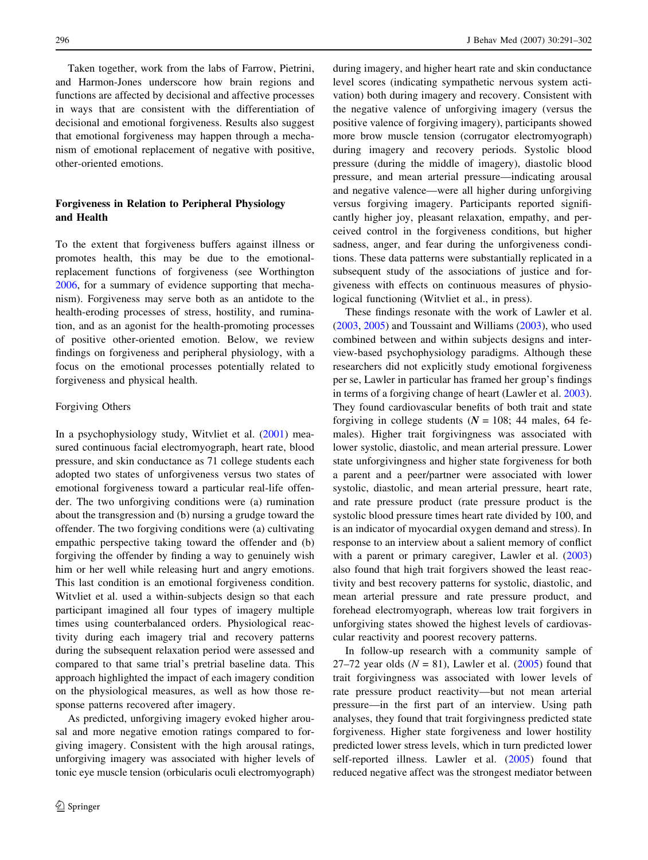Taken together, work from the labs of Farrow, Pietrini, and Harmon-Jones underscore how brain regions and functions are affected by decisional and affective processes in ways that are consistent with the differentiation of decisional and emotional forgiveness. Results also suggest that emotional forgiveness may happen through a mechanism of emotional replacement of negative with positive, other-oriented emotions.

## Forgiveness in Relation to Peripheral Physiology and Health

To the extent that forgiveness buffers against illness or promotes health, this may be due to the emotionalreplacement functions of forgiveness (see Worthington [2006,](#page-11-0) for a summary of evidence supporting that mechanism). Forgiveness may serve both as an antidote to the health-eroding processes of stress, hostility, and rumination, and as an agonist for the health-promoting processes of positive other-oriented emotion. Below, we review findings on forgiveness and peripheral physiology, with a focus on the emotional processes potentially related to forgiveness and physical health.

## Forgiving Others

In a psychophysiology study, Witvliet et al. ([2001\)](#page-11-0) measured continuous facial electromyograph, heart rate, blood pressure, and skin conductance as 71 college students each adopted two states of unforgiveness versus two states of emotional forgiveness toward a particular real-life offender. The two unforgiving conditions were (a) rumination about the transgression and (b) nursing a grudge toward the offender. The two forgiving conditions were (a) cultivating empathic perspective taking toward the offender and (b) forgiving the offender by finding a way to genuinely wish him or her well while releasing hurt and angry emotions. This last condition is an emotional forgiveness condition. Witvliet et al. used a within-subjects design so that each participant imagined all four types of imagery multiple times using counterbalanced orders. Physiological reactivity during each imagery trial and recovery patterns during the subsequent relaxation period were assessed and compared to that same trial's pretrial baseline data. This approach highlighted the impact of each imagery condition on the physiological measures, as well as how those response patterns recovered after imagery.

As predicted, unforgiving imagery evoked higher arousal and more negative emotion ratings compared to forgiving imagery. Consistent with the high arousal ratings, unforgiving imagery was associated with higher levels of tonic eye muscle tension (orbicularis oculi electromyograph) during imagery, and higher heart rate and skin conductance level scores (indicating sympathetic nervous system activation) both during imagery and recovery. Consistent with the negative valence of unforgiving imagery (versus the positive valence of forgiving imagery), participants showed more brow muscle tension (corrugator electromyograph) during imagery and recovery periods. Systolic blood pressure (during the middle of imagery), diastolic blood pressure, and mean arterial pressure—indicating arousal and negative valence—were all higher during unforgiving versus forgiving imagery. Participants reported significantly higher joy, pleasant relaxation, empathy, and perceived control in the forgiveness conditions, but higher sadness, anger, and fear during the unforgiveness conditions. These data patterns were substantially replicated in a subsequent study of the associations of justice and forgiveness with effects on continuous measures of physiological functioning (Witvliet et al., in press).

These findings resonate with the work of Lawler et al. [\(2003](#page-10-0), [2005](#page-10-0)) and Toussaint and Williams [\(2003\)](#page-11-0), who used combined between and within subjects designs and interview-based psychophysiology paradigms. Although these researchers did not explicitly study emotional forgiveness per se, Lawler in particular has framed her group's findings in terms of a forgiving change of heart (Lawler et al. [2003](#page-10-0)). They found cardiovascular benefits of both trait and state forgiving in college students ( $N = 108$ ; 44 males, 64 females). Higher trait forgivingness was associated with lower systolic, diastolic, and mean arterial pressure. Lower state unforgivingness and higher state forgiveness for both a parent and a peer/partner were associated with lower systolic, diastolic, and mean arterial pressure, heart rate, and rate pressure product (rate pressure product is the systolic blood pressure times heart rate divided by 100, and is an indicator of myocardial oxygen demand and stress). In response to an interview about a salient memory of conflict with a parent or primary caregiver, Lawler et al.  $(2003)$  $(2003)$ also found that high trait forgivers showed the least reactivity and best recovery patterns for systolic, diastolic, and mean arterial pressure and rate pressure product, and forehead electromyograph, whereas low trait forgivers in unforgiving states showed the highest levels of cardiovascular reactivity and poorest recovery patterns.

In follow-up research with a community sample of 27–72 year olds  $(N = 81)$ , Lawler et al. ([2005\)](#page-10-0) found that trait forgivingness was associated with lower levels of rate pressure product reactivity—but not mean arterial pressure—in the first part of an interview. Using path analyses, they found that trait forgivingness predicted state forgiveness. Higher state forgiveness and lower hostility predicted lower stress levels, which in turn predicted lower self-reported illness. Lawler et al. ([2005\)](#page-10-0) found that reduced negative affect was the strongest mediator between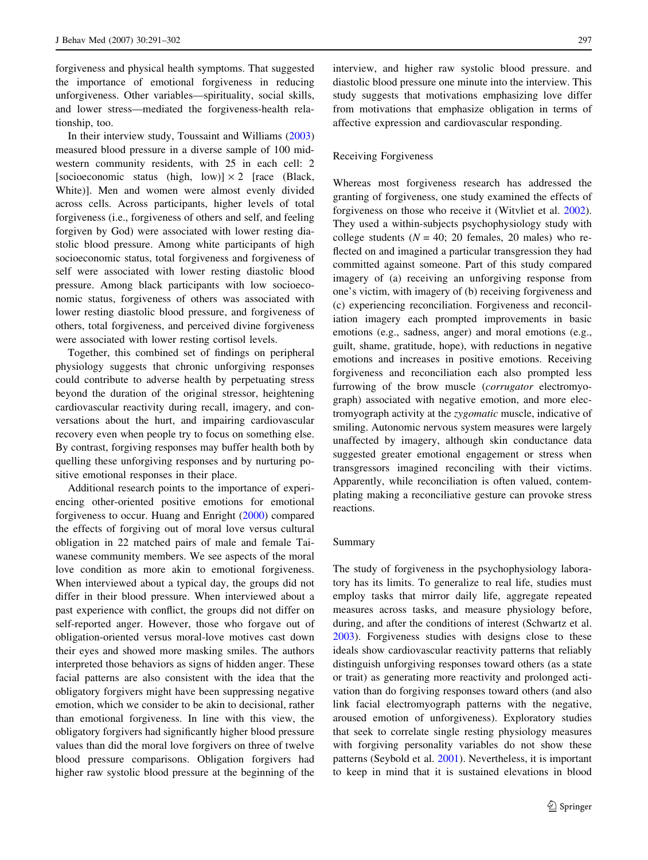forgiveness and physical health symptoms. That suggested the importance of emotional forgiveness in reducing unforgiveness. Other variables—spirituality, social skills, and lower stress—mediated the forgiveness-health relationship, too.

In their interview study, Toussaint and Williams ([2003\)](#page-11-0) measured blood pressure in a diverse sample of 100 midwestern community residents, with 25 in each cell: 2 [socioeconomic status (high, low)]  $\times$  2 [race (Black, White)]. Men and women were almost evenly divided across cells. Across participants, higher levels of total forgiveness (i.e., forgiveness of others and self, and feeling forgiven by God) were associated with lower resting diastolic blood pressure. Among white participants of high socioeconomic status, total forgiveness and forgiveness of self were associated with lower resting diastolic blood pressure. Among black participants with low socioeconomic status, forgiveness of others was associated with lower resting diastolic blood pressure, and forgiveness of others, total forgiveness, and perceived divine forgiveness were associated with lower resting cortisol levels.

Together, this combined set of findings on peripheral physiology suggests that chronic unforgiving responses could contribute to adverse health by perpetuating stress beyond the duration of the original stressor, heightening cardiovascular reactivity during recall, imagery, and conversations about the hurt, and impairing cardiovascular recovery even when people try to focus on something else. By contrast, forgiving responses may buffer health both by quelling these unforgiving responses and by nurturing positive emotional responses in their place.

Additional research points to the importance of experiencing other-oriented positive emotions for emotional forgiveness to occur. Huang and Enright [\(2000](#page-10-0)) compared the effects of forgiving out of moral love versus cultural obligation in 22 matched pairs of male and female Taiwanese community members. We see aspects of the moral love condition as more akin to emotional forgiveness. When interviewed about a typical day, the groups did not differ in their blood pressure. When interviewed about a past experience with conflict, the groups did not differ on self-reported anger. However, those who forgave out of obligation-oriented versus moral-love motives cast down their eyes and showed more masking smiles. The authors interpreted those behaviors as signs of hidden anger. These facial patterns are also consistent with the idea that the obligatory forgivers might have been suppressing negative emotion, which we consider to be akin to decisional, rather than emotional forgiveness. In line with this view, the obligatory forgivers had significantly higher blood pressure values than did the moral love forgivers on three of twelve blood pressure comparisons. Obligation forgivers had higher raw systolic blood pressure at the beginning of the

interview, and higher raw systolic blood pressure. and diastolic blood pressure one minute into the interview. This study suggests that motivations emphasizing love differ from motivations that emphasize obligation in terms of affective expression and cardiovascular responding.

## Receiving Forgiveness

Whereas most forgiveness research has addressed the granting of forgiveness, one study examined the effects of forgiveness on those who receive it (Witvliet et al. [2002](#page-11-0)). They used a within-subjects psychophysiology study with college students ( $N = 40$ ; 20 females, 20 males) who reflected on and imagined a particular transgression they had committed against someone. Part of this study compared imagery of (a) receiving an unforgiving response from one's victim, with imagery of (b) receiving forgiveness and (c) experiencing reconciliation. Forgiveness and reconciliation imagery each prompted improvements in basic emotions (e.g., sadness, anger) and moral emotions (e.g., guilt, shame, gratitude, hope), with reductions in negative emotions and increases in positive emotions. Receiving forgiveness and reconciliation each also prompted less furrowing of the brow muscle (*corrugator* electromyograph) associated with negative emotion, and more electromyograph activity at the zygomatic muscle, indicative of smiling. Autonomic nervous system measures were largely unaffected by imagery, although skin conductance data suggested greater emotional engagement or stress when transgressors imagined reconciling with their victims. Apparently, while reconciliation is often valued, contemplating making a reconciliative gesture can provoke stress reactions.

## Summary

The study of forgiveness in the psychophysiology laboratory has its limits. To generalize to real life, studies must employ tasks that mirror daily life, aggregate repeated measures across tasks, and measure physiology before, during, and after the conditions of interest (Schwartz et al. [2003](#page-11-0)). Forgiveness studies with designs close to these ideals show cardiovascular reactivity patterns that reliably distinguish unforgiving responses toward others (as a state or trait) as generating more reactivity and prolonged activation than do forgiving responses toward others (and also link facial electromyograph patterns with the negative, aroused emotion of unforgiveness). Exploratory studies that seek to correlate single resting physiology measures with forgiving personality variables do not show these patterns (Seybold et al. [2001](#page-11-0)). Nevertheless, it is important to keep in mind that it is sustained elevations in blood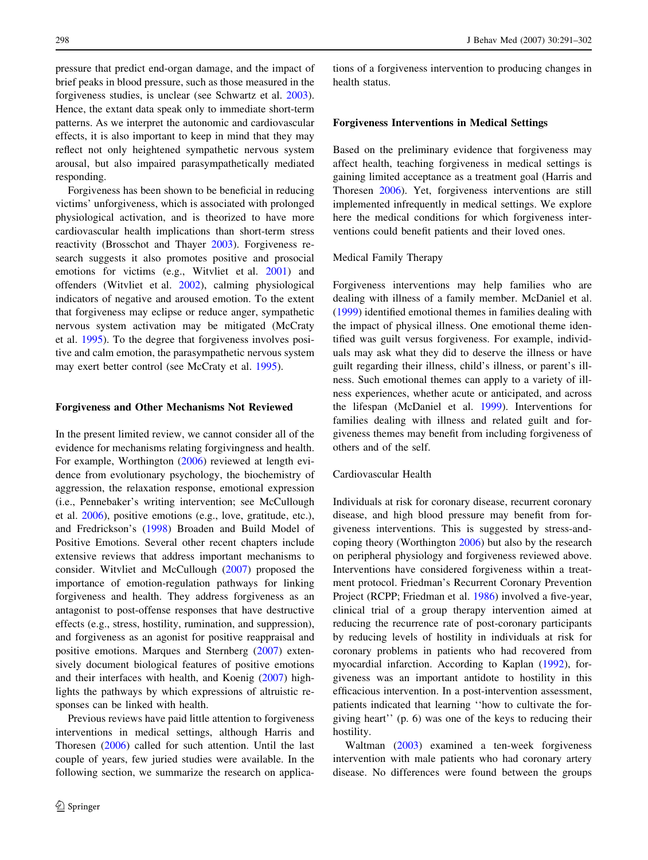pressure that predict end-organ damage, and the impact of brief peaks in blood pressure, such as those measured in the forgiveness studies, is unclear (see Schwartz et al. [2003](#page-11-0)). Hence, the extant data speak only to immediate short-term patterns. As we interpret the autonomic and cardiovascular effects, it is also important to keep in mind that they may reflect not only heightened sympathetic nervous system arousal, but also impaired parasympathetically mediated responding.

Forgiveness has been shown to be beneficial in reducing victims' unforgiveness, which is associated with prolonged physiological activation, and is theorized to have more cardiovascular health implications than short-term stress reactivity (Brosschot and Thayer [2003](#page-10-0)). Forgiveness research suggests it also promotes positive and prosocial emotions for victims (e.g., Witvliet et al. [2001](#page-11-0)) and offenders (Witvliet et al. [2002](#page-11-0)), calming physiological indicators of negative and aroused emotion. To the extent that forgiveness may eclipse or reduce anger, sympathetic nervous system activation may be mitigated (McCraty et al. [1995\)](#page-11-0). To the degree that forgiveness involves positive and calm emotion, the parasympathetic nervous system may exert better control (see McCraty et al. [1995\)](#page-11-0).

## Forgiveness and Other Mechanisms Not Reviewed

In the present limited review, we cannot consider all of the evidence for mechanisms relating forgivingness and health. For example, Worthington ([2006\)](#page-11-0) reviewed at length evidence from evolutionary psychology, the biochemistry of aggression, the relaxation response, emotional expression (i.e., Pennebaker's writing intervention; see McCullough et al. [2006](#page-11-0)), positive emotions (e.g., love, gratitude, etc.), and Fredrickson's [\(1998](#page-10-0)) Broaden and Build Model of Positive Emotions. Several other recent chapters include extensive reviews that address important mechanisms to consider. Witvliet and McCullough ([2007\)](#page-11-0) proposed the importance of emotion-regulation pathways for linking forgiveness and health. They address forgiveness as an antagonist to post-offense responses that have destructive effects (e.g., stress, hostility, rumination, and suppression), and forgiveness as an agonist for positive reappraisal and positive emotions. Marques and Sternberg [\(2007](#page-10-0)) extensively document biological features of positive emotions and their interfaces with health, and Koenig ([2007\)](#page-10-0) highlights the pathways by which expressions of altruistic responses can be linked with health.

Previous reviews have paid little attention to forgiveness interventions in medical settings, although Harris and Thoresen [\(2006](#page-10-0)) called for such attention. Until the last couple of years, few juried studies were available. In the following section, we summarize the research on applica-

tions of a forgiveness intervention to producing changes in health status.

## Forgiveness Interventions in Medical Settings

Based on the preliminary evidence that forgiveness may affect health, teaching forgiveness in medical settings is gaining limited acceptance as a treatment goal (Harris and Thoresen [2006\)](#page-10-0). Yet, forgiveness interventions are still implemented infrequently in medical settings. We explore here the medical conditions for which forgiveness interventions could benefit patients and their loved ones.

## Medical Family Therapy

Forgiveness interventions may help families who are dealing with illness of a family member. McDaniel et al. [\(1999](#page-11-0)) identified emotional themes in families dealing with the impact of physical illness. One emotional theme identified was guilt versus forgiveness. For example, individuals may ask what they did to deserve the illness or have guilt regarding their illness, child's illness, or parent's illness. Such emotional themes can apply to a variety of illness experiences, whether acute or anticipated, and across the lifespan (McDaniel et al. [1999\)](#page-11-0). Interventions for families dealing with illness and related guilt and forgiveness themes may benefit from including forgiveness of others and of the self.

## Cardiovascular Health

Individuals at risk for coronary disease, recurrent coronary disease, and high blood pressure may benefit from forgiveness interventions. This is suggested by stress-andcoping theory (Worthington [2006](#page-11-0)) but also by the research on peripheral physiology and forgiveness reviewed above. Interventions have considered forgiveness within a treatment protocol. Friedman's Recurrent Coronary Prevention Project (RCPP; Friedman et al. [1986\)](#page-10-0) involved a five-year, clinical trial of a group therapy intervention aimed at reducing the recurrence rate of post-coronary participants by reducing levels of hostility in individuals at risk for coronary problems in patients who had recovered from myocardial infarction. According to Kaplan ([1992\)](#page-10-0), forgiveness was an important antidote to hostility in this efficacious intervention. In a post-intervention assessment, patients indicated that learning ''how to cultivate the forgiving heart'' (p. 6) was one of the keys to reducing their hostility.

Waltman [\(2003](#page-11-0)) examined a ten-week forgiveness intervention with male patients who had coronary artery disease. No differences were found between the groups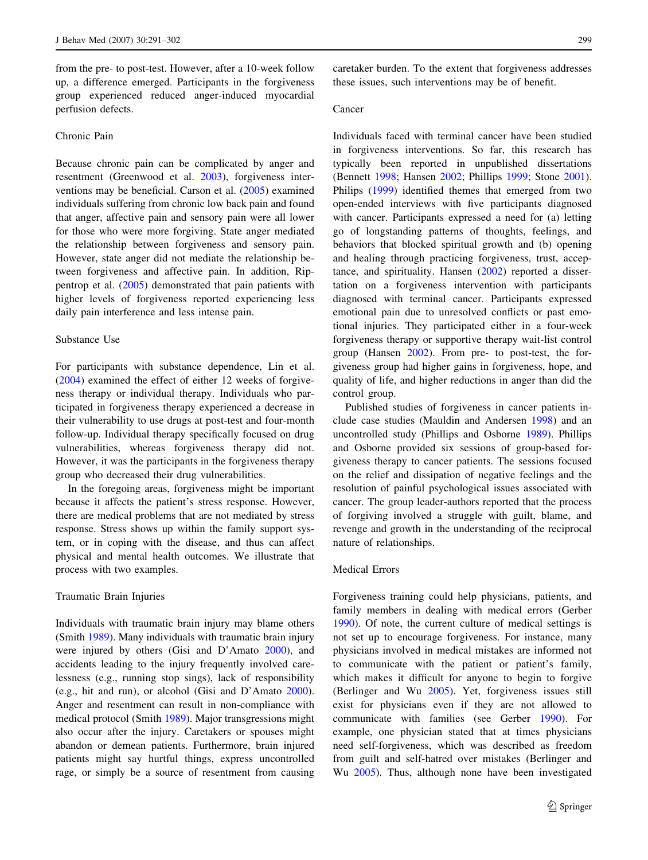from the pre- to post-test. However, after a 10-week follow up, a difference emerged. Participants in the forgiveness group experienced reduced anger-induced myocardial perfusion defects.

## Chronic Pain

Because chronic pain can be complicated by anger and resentment (Greenwood et al. [2003](#page-10-0)), forgiveness interventions may be beneficial. Carson et al. ([2005\)](#page-10-0) examined individuals suffering from chronic low back pain and found that anger, affective pain and sensory pain were all lower for those who were more forgiving. State anger mediated the relationship between forgiveness and sensory pain. However, state anger did not mediate the relationship between forgiveness and affective pain. In addition, Rippentrop et al. ([2005\)](#page-11-0) demonstrated that pain patients with higher levels of forgiveness reported experiencing less daily pain interference and less intense pain.

## Substance Use

For participants with substance dependence, Lin et al. [\(2004](#page-10-0)) examined the effect of either 12 weeks of forgiveness therapy or individual therapy. Individuals who participated in forgiveness therapy experienced a decrease in their vulnerability to use drugs at post-test and four-month follow-up. Individual therapy specifically focused on drug vulnerabilities, whereas forgiveness therapy did not. However, it was the participants in the forgiveness therapy group who decreased their drug vulnerabilities.

In the foregoing areas, forgiveness might be important because it affects the patient's stress response. However, there are medical problems that are not mediated by stress response. Stress shows up within the family support system, or in coping with the disease, and thus can affect physical and mental health outcomes. We illustrate that process with two examples.

## Traumatic Brain Injuries

Individuals with traumatic brain injury may blame others (Smith [1989\)](#page-11-0). Many individuals with traumatic brain injury were injured by others (Gisi and D'Amato [2000](#page-10-0)), and accidents leading to the injury frequently involved carelessness (e.g., running stop sings), lack of responsibility (e.g., hit and run), or alcohol (Gisi and D'Amato [2000](#page-10-0)). Anger and resentment can result in non-compliance with medical protocol (Smith [1989](#page-11-0)). Major transgressions might also occur after the injury. Caretakers or spouses might abandon or demean patients. Furthermore, brain injured patients might say hurtful things, express uncontrolled rage, or simply be a source of resentment from causing caretaker burden. To the extent that forgiveness addresses these issues, such interventions may be of benefit.

## Cancer

Individuals faced with terminal cancer have been studied in forgiveness interventions. So far, this research has typically been reported in unpublished dissertations (Bennett [1998](#page-9-0); Hansen [2002;](#page-10-0) Phillips [1999](#page-11-0); Stone [2001](#page-11-0)). Philips [\(1999\)](#page-11-0) identified themes that emerged from two open-ended interviews with five participants diagnosed with cancer. Participants expressed a need for (a) letting go of longstanding patterns of thoughts, feelings, and behaviors that blocked spiritual growth and (b) opening and healing through practicing forgiveness, trust, acceptance, and spirituality. Hansen [\(2002](#page-10-0)) reported a dissertation on a forgiveness intervention with participants diagnosed with terminal cancer. Participants expressed emotional pain due to unresolved conflicts or past emotional injuries. They participated either in a four-week forgiveness therapy or supportive therapy wait-list control group (Hansen [2002](#page-10-0)). From pre- to post-test, the forgiveness group had higher gains in forgiveness, hope, and quality of life, and higher reductions in anger than did the control group.

Published studies of forgiveness in cancer patients include case studies (Mauldin and Andersen [1998](#page-10-0)) and an uncontrolled study (Phillips and Osborne [1989](#page-11-0)). Phillips and Osborne provided six sessions of group-based forgiveness therapy to cancer patients. The sessions focused on the relief and dissipation of negative feelings and the resolution of painful psychological issues associated with cancer. The group leader-authors reported that the process of forgiving involved a struggle with guilt, blame, and revenge and growth in the understanding of the reciprocal nature of relationships.

## Medical Errors

Forgiveness training could help physicians, patients, and family members in dealing with medical errors (Gerber [1990](#page-10-0)). Of note, the current culture of medical settings is not set up to encourage forgiveness. For instance, many physicians involved in medical mistakes are informed not to communicate with the patient or patient's family, which makes it difficult for anyone to begin to forgive (Berlinger and Wu [2005](#page-10-0)). Yet, forgiveness issues still exist for physicians even if they are not allowed to communicate with families (see Gerber [1990](#page-10-0)). For example, one physician stated that at times physicians need self-forgiveness, which was described as freedom from guilt and self-hatred over mistakes (Berlinger and Wu [2005](#page-10-0)). Thus, although none have been investigated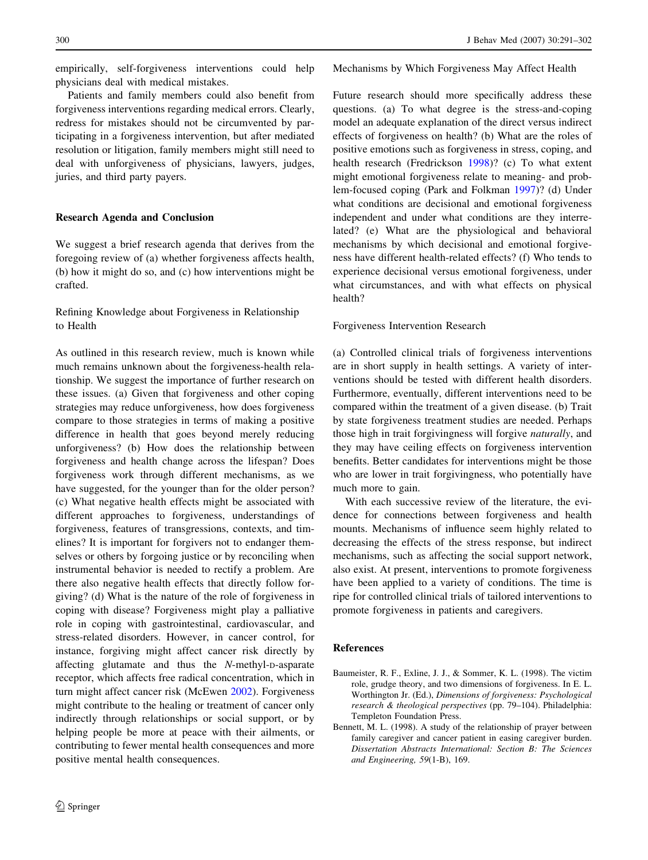<span id="page-9-0"></span>empirically, self-forgiveness interventions could help physicians deal with medical mistakes.

Patients and family members could also benefit from forgiveness interventions regarding medical errors. Clearly, redress for mistakes should not be circumvented by participating in a forgiveness intervention, but after mediated resolution or litigation, family members might still need to deal with unforgiveness of physicians, lawyers, judges, juries, and third party payers.

## Research Agenda and Conclusion

We suggest a brief research agenda that derives from the foregoing review of (a) whether forgiveness affects health, (b) how it might do so, and (c) how interventions might be crafted.

# Refining Knowledge about Forgiveness in Relationship to Health

As outlined in this research review, much is known while much remains unknown about the forgiveness-health relationship. We suggest the importance of further research on these issues. (a) Given that forgiveness and other coping strategies may reduce unforgiveness, how does forgiveness compare to those strategies in terms of making a positive difference in health that goes beyond merely reducing unforgiveness? (b) How does the relationship between forgiveness and health change across the lifespan? Does forgiveness work through different mechanisms, as we have suggested, for the younger than for the older person? (c) What negative health effects might be associated with different approaches to forgiveness, understandings of forgiveness, features of transgressions, contexts, and timelines? It is important for forgivers not to endanger themselves or others by forgoing justice or by reconciling when instrumental behavior is needed to rectify a problem. Are there also negative health effects that directly follow forgiving? (d) What is the nature of the role of forgiveness in coping with disease? Forgiveness might play a palliative role in coping with gastrointestinal, cardiovascular, and stress-related disorders. However, in cancer control, for instance, forgiving might affect cancer risk directly by affecting glutamate and thus the N-methyl-D-asparate receptor, which affects free radical concentration, which in turn might affect cancer risk (McEwen [2002](#page-11-0)). Forgiveness might contribute to the healing or treatment of cancer only indirectly through relationships or social support, or by helping people be more at peace with their ailments, or contributing to fewer mental health consequences and more positive mental health consequences.

#### Mechanisms by Which Forgiveness May Affect Health

Future research should more specifically address these questions. (a) To what degree is the stress-and-coping model an adequate explanation of the direct versus indirect effects of forgiveness on health? (b) What are the roles of positive emotions such as forgiveness in stress, coping, and health research (Fredrickson [1998](#page-10-0))? (c) To what extent might emotional forgiveness relate to meaning- and problem-focused coping (Park and Folkman [1997\)](#page-11-0)? (d) Under what conditions are decisional and emotional forgiveness independent and under what conditions are they interrelated? (e) What are the physiological and behavioral mechanisms by which decisional and emotional forgiveness have different health-related effects? (f) Who tends to experience decisional versus emotional forgiveness, under what circumstances, and with what effects on physical health?

#### Forgiveness Intervention Research

(a) Controlled clinical trials of forgiveness interventions are in short supply in health settings. A variety of interventions should be tested with different health disorders. Furthermore, eventually, different interventions need to be compared within the treatment of a given disease. (b) Trait by state forgiveness treatment studies are needed. Perhaps those high in trait forgivingness will forgive naturally, and they may have ceiling effects on forgiveness intervention benefits. Better candidates for interventions might be those who are lower in trait forgivingness, who potentially have much more to gain.

With each successive review of the literature, the evidence for connections between forgiveness and health mounts. Mechanisms of influence seem highly related to decreasing the effects of the stress response, but indirect mechanisms, such as affecting the social support network, also exist. At present, interventions to promote forgiveness have been applied to a variety of conditions. The time is ripe for controlled clinical trials of tailored interventions to promote forgiveness in patients and caregivers.

## References

- Baumeister, R. F., Exline, J. J., & Sommer, K. L. (1998). The victim role, grudge theory, and two dimensions of forgiveness. In E. L. Worthington Jr. (Ed.), Dimensions of forgiveness: Psychological research & theological perspectives (pp. 79–104). Philadelphia: Templeton Foundation Press.
- Bennett, M. L. (1998). A study of the relationship of prayer between family caregiver and cancer patient in easing caregiver burden. Dissertation Abstracts International: Section B: The Sciences and Engineering, 59(1-B), 169.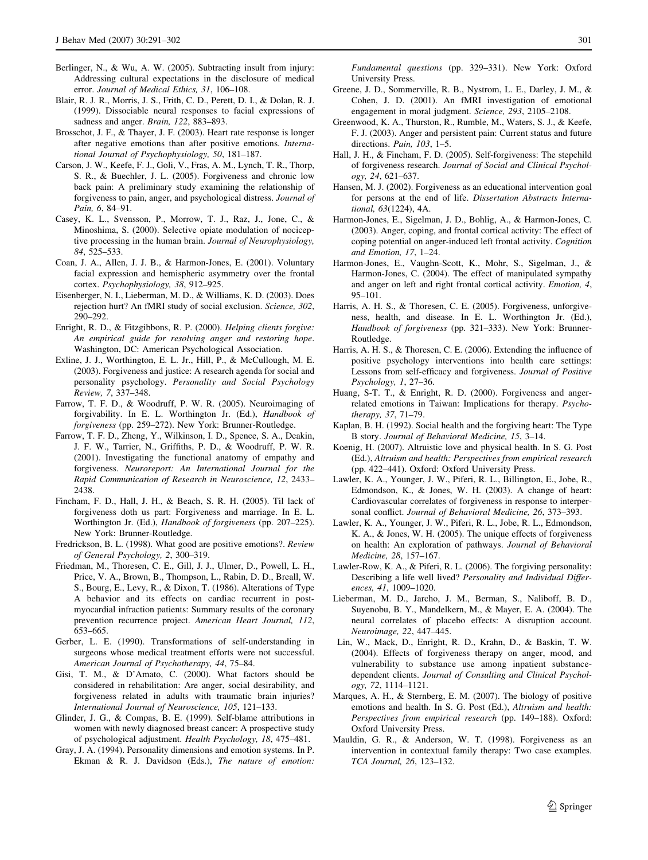- <span id="page-10-0"></span>Berlinger, N., & Wu, A. W. (2005). Subtracting insult from injury: Addressing cultural expectations in the disclosure of medical error. Journal of Medical Ethics, 31, 106–108.
- Blair, R. J. R., Morris, J. S., Frith, C. D., Perett, D. I., & Dolan, R. J. (1999). Dissociable neural responses to facial expressions of sadness and anger. Brain, 122, 883–893.
- Brosschot, J. F., & Thayer, J. F. (2003). Heart rate response is longer after negative emotions than after positive emotions. International Journal of Psychophysiology, 50, 181–187.
- Carson, J. W., Keefe, F. J., Goli, V., Fras, A. M., Lynch, T. R., Thorp, S. R., & Buechler, J. L. (2005). Forgiveness and chronic low back pain: A preliminary study examining the relationship of forgiveness to pain, anger, and psychological distress. Journal of Pain, 6, 84–91.
- Casey, K. L., Svensson, P., Morrow, T. J., Raz, J., Jone, C., & Minoshima, S. (2000). Selective opiate modulation of nociceptive processing in the human brain. Journal of Neurophysiology, 84, 525–533.
- Coan, J. A., Allen, J. J. B., & Harmon-Jones, E. (2001). Voluntary facial expression and hemispheric asymmetry over the frontal cortex. Psychophysiology, 38, 912–925.
- Eisenberger, N. I., Lieberman, M. D., & Williams, K. D. (2003). Does rejection hurt? An fMRI study of social exclusion. Science, 302, 290–292.
- Enright, R. D., & Fitzgibbons, R. P. (2000). Helping clients forgive: An empirical guide for resolving anger and restoring hope. Washington, DC: American Psychological Association.
- Exline, J. J., Worthington, E. L. Jr., Hill, P., & McCullough, M. E. (2003). Forgiveness and justice: A research agenda for social and personality psychology. Personality and Social Psychology Review, 7, 337–348.
- Farrow, T. F. D., & Woodruff, P. W. R. (2005). Neuroimaging of forgivability. In E. L. Worthington Jr. (Ed.), Handbook of forgiveness (pp. 259–272). New York: Brunner-Routledge.
- Farrow, T. F. D., Zheng, Y., Wilkinson, I. D., Spence, S. A., Deakin, J. F. W., Tarrier, N., Griffiths, P. D., & Woodruff, P. W. R. (2001). Investigating the functional anatomy of empathy and forgiveness. Neuroreport: An International Journal for the Rapid Communication of Research in Neuroscience, 12, 2433– 2438.
- Fincham, F. D., Hall, J. H., & Beach, S. R. H. (2005). Til lack of forgiveness doth us part: Forgiveness and marriage. In E. L. Worthington Jr. (Ed.), Handbook of forgiveness (pp. 207–225). New York: Brunner-Routledge.
- Fredrickson, B. L. (1998). What good are positive emotions?. Review of General Psychology, 2, 300–319.
- Friedman, M., Thoresen, C. E., Gill, J. J., Ulmer, D., Powell, L. H., Price, V. A., Brown, B., Thompson, L., Rabin, D. D., Breall, W. S., Bourg, E., Levy, R., & Dixon, T. (1986). Alterations of Type A behavior and its effects on cardiac recurrent in postmyocardial infraction patients: Summary results of the coronary prevention recurrence project. American Heart Journal, 112, 653–665.
- Gerber, L. E. (1990). Transformations of self-understanding in surgeons whose medical treatment efforts were not successful. American Journal of Psychotherapy, 44, 75–84.
- Gisi, T. M., & D'Amato, C. (2000). What factors should be considered in rehabilitation: Are anger, social desirability, and forgiveness related in adults with traumatic brain injuries? International Journal of Neuroscience, 105, 121–133.
- Glinder, J. G., & Compas, B. E. (1999). Self-blame attributions in women with newly diagnosed breast cancer: A prospective study of psychological adjustment. Health Psychology, 18, 475–481.
- Gray, J. A. (1994). Personality dimensions and emotion systems. In P. Ekman & R. J. Davidson (Eds.), The nature of emotion:

Fundamental questions (pp. 329–331). New York: Oxford University Press.

- Greene, J. D., Sommerville, R. B., Nystrom, L. E., Darley, J. M., & Cohen, J. D. (2001). An fMRI investigation of emotional engagement in moral judgment. Science, 293, 2105–2108.
- Greenwood, K. A., Thurston, R., Rumble, M., Waters, S. J., & Keefe, F. J. (2003). Anger and persistent pain: Current status and future directions. Pain, 103, 1-5.
- Hall, J. H., & Fincham, F. D. (2005). Self-forgiveness: The stepchild of forgiveness research. Journal of Social and Clinical Psychology, 24, 621–637.
- Hansen, M. J. (2002). Forgiveness as an educational intervention goal for persons at the end of life. Dissertation Abstracts International, 63(1224), 4A.
- Harmon-Jones, E., Sigelman, J. D., Bohlig, A., & Harmon-Jones, C. (2003). Anger, coping, and frontal cortical activity: The effect of coping potential on anger-induced left frontal activity. Cognition and Emotion, 17, 1–24.
- Harmon-Jones, E., Vaughn-Scott, K., Mohr, S., Sigelman, J., & Harmon-Jones, C. (2004). The effect of manipulated sympathy and anger on left and right frontal cortical activity. Emotion, 4, 95–101.
- Harris, A. H. S., & Thoresen, C. E. (2005). Forgiveness, unforgiveness, health, and disease. In E. L. Worthington Jr. (Ed.), Handbook of forgiveness (pp. 321–333). New York: Brunner-Routledge.
- Harris, A. H. S., & Thoresen, C. E. (2006). Extending the influence of positive psychology interventions into health care settings: Lessons from self-efficacy and forgiveness. Journal of Positive Psychology, 1, 27–36.
- Huang, S-T. T., & Enright, R. D. (2000). Forgiveness and angerrelated emotions in Taiwan: Implications for therapy. Psychotherapy, 37, 71–79.
- Kaplan, B. H. (1992). Social health and the forgiving heart: The Type B story. Journal of Behavioral Medicine, 15, 3–14.
- Koenig, H. (2007). Altruistic love and physical health. In S. G. Post (Ed.), Altruism and health: Perspectives from empirical research (pp. 422–441). Oxford: Oxford University Press.
- Lawler, K. A., Younger, J. W., Piferi, R. L., Billington, E., Jobe, R., Edmondson, K., & Jones, W. H. (2003). A change of heart: Cardiovascular correlates of forgiveness in response to interpersonal conflict. Journal of Behavioral Medicine, 26, 373–393.
- Lawler, K. A., Younger, J. W., Piferi, R. L., Jobe, R. L., Edmondson, K. A., & Jones, W. H. (2005). The unique effects of forgiveness on health: An exploration of pathways. Journal of Behavioral Medicine, 28, 157–167.
- Lawler-Row, K. A., & Piferi, R. L. (2006). The forgiving personality: Describing a life well lived? Personality and Individual Differences, 41, 1009–1020.
- Lieberman, M. D., Jarcho, J. M., Berman, S., Naliboff, B. D., Suyenobu, B. Y., Mandelkern, M., & Mayer, E. A. (2004). The neural correlates of placebo effects: A disruption account. Neuroimage, 22, 447–445.
- Lin, W., Mack, D., Enright, R. D., Krahn, D., & Baskin, T. W. (2004). Effects of forgiveness therapy on anger, mood, and vulnerability to substance use among inpatient substancedependent clients. Journal of Consulting and Clinical Psychology, 72, 1114–1121.
- Marques, A. H., & Sternberg, E. M. (2007). The biology of positive emotions and health. In S. G. Post (Ed.), Altruism and health: Perspectives from empirical research (pp. 149–188). Oxford: Oxford University Press.
- Mauldin, G. R., & Anderson, W. T. (1998). Forgiveness as an intervention in contextual family therapy: Two case examples. TCA Journal, 26, 123–132.